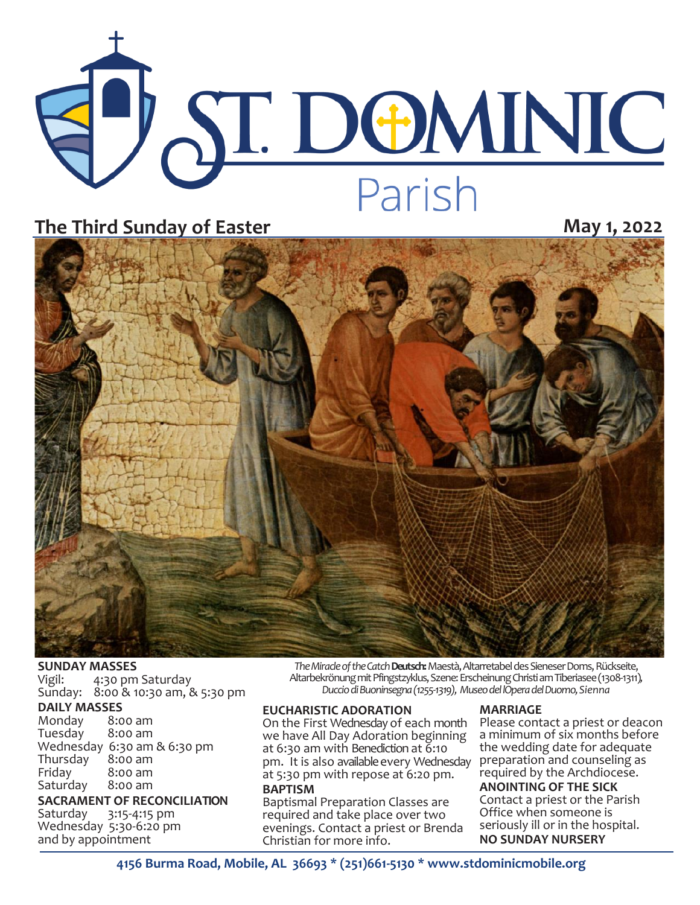

## **The Third Sunday of Easter May 1, 2022**



# **SUNDAY MASSES**<br>Vigil: 4:30 pm

4:30 pm Saturday Sunday: 8:00 & 10:30 am, & 5:30 pm

### **DAILY MASSES**

Monday 8:00 am Tuesday Wednesday 6:30 am & 6:30 pm Thursday<br>Friday  $8:00$  am<br> $8:00$  am Saturday

**SACRAMENT OF RECONCILIATION**

Saturday 3:15-4:15 pm Wednesday 5:30-6:20 pm and by appointment

*The Miracle of the Catch* **Deutsch:**Maestà, Altarretabel des Sieneser Doms, Rückseite, Altarbekrönung mit Pfingstzyklus, Szene: Erscheinung Christi am Tiberiasee (1308-1311)*, Duccio di Buoninsegna (1255-1319), Museo del lOpera del Duomo, Sienna*

#### **EUCHARISTIC ADORATION**

On the First Wednesday of each month we have All Day Adoration beginning at 6:30 am with Benediction at 6:10 pm. It is also available every Wednesday at 5:30 pm with repose at 6:20 pm. **BAPTISM**

Baptismal Preparation Classes are required and take place over two evenings. Contact a priest or Brenda Christian for more info.

#### **MARRIAGE**

Please contact a priest or deacon a minimum of six months before the wedding date for adequate preparation and counseling as required by the Archdiocese.

**ANOINTING OF THE SICK** Contact a priest or the Parish Office when someone is seriously ill or in the hospital.

**NO SUNDAY NURSERY**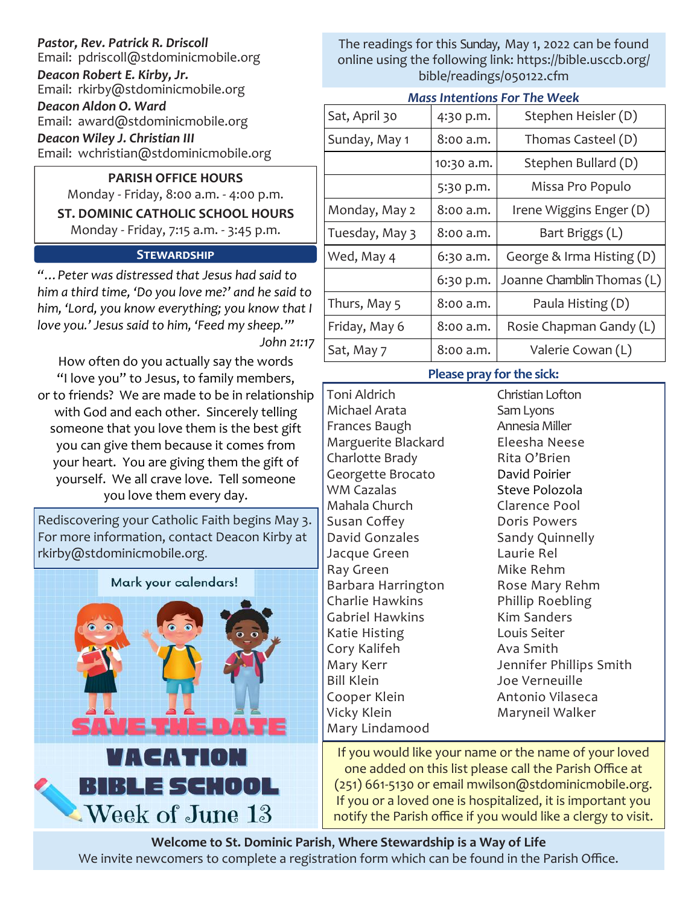## *Pastor, Rev. Patrick R. Driscoll*

Email: pdriscoll@stdominicmobile.org

*Deacon Robert E. Kirby, Jr.* Email: rkirby@stdominicmobile.org

*Deacon Aldon O. Ward*

Email: award@stdominicmobile.org

*Deacon Wiley J. Christian III*

Email: wchristian@stdominicmobile.org

## **PARISH OFFICE HOURS**

Monday - Friday, 8:00 a.m. - 4:00 p.m. **ST. DOMINIC CATHOLIC SCHOOL HOURS**  Monday - Friday, 7:15 a.m. - 3:45 p.m.

## **Stewardship**

*"…Peter was distressed that Jesus had said to him a third time, 'Do you love me?' and he said to him, 'Lord, you know everything; you know that I love you.' Jesus said to him, 'Feed my sheep.'" John 21:17*

How often do you actually say the words "I love you" to Jesus, to family members, or to friends? We are made to be in relationship with God and each other. Sincerely telling someone that you love them is the best gift you can give them because it comes from your heart. You are giving them the gift of yourself. We all crave love. Tell someone you love them every day.

Rediscovering your Catholic Faith begins May 3. For more information, contact Deacon Kirby at rkirby@stdominicmobile.org.



The readings for this Sunday, May 1, 2022 can be found online using the following link: https://bible.usccb.org/ bible/readings/050122.cfm

| <b>Mass Intentions For The Week</b> |  |  |
|-------------------------------------|--|--|
|                                     |  |  |

| Sat, April 30  | 4:30 p.m.  | Stephen Heisler (D)        |  |  |  |
|----------------|------------|----------------------------|--|--|--|
| Sunday, May 1  | 8:00 a.m.  | Thomas Casteel (D)         |  |  |  |
|                | 10:30 a.m. | Stephen Bullard (D)        |  |  |  |
|                | 5:30 p.m.  | Missa Pro Populo           |  |  |  |
| Monday, May 2  | 8:00 a.m.  | Irene Wiggins Enger (D)    |  |  |  |
| Tuesday, May 3 | 8:00 a.m.  | Bart Briggs (L)            |  |  |  |
| Wed, May 4     | 6:30 a.m.  | George & Irma Histing (D)  |  |  |  |
|                | 6:30 p.m.  | Joanne Chamblin Thomas (L) |  |  |  |
| Thurs, May 5   | 8:00 a.m.  | Paula Histing (D)          |  |  |  |
| Friday, May 6  | 8:00 a.m.  | Rosie Chapman Gandy (L)    |  |  |  |
| Sat, May 7     | 8:00 a.m.  | Valerie Cowan (L)          |  |  |  |

## **Please pray for the sick:**

Toni Aldrich Michael Arata Frances Baugh Marguerite Blackard Charlotte Brady Georgette Brocato WM Cazalas Mahala Church Susan Coffey David Gonzales Jacque Green Ray Green Barbara Harrington Charlie Hawkins Gabriel Hawkins Katie Histing Cory Kalifeh Mary Kerr Bill Klein Cooper Klein Vicky Klein Mary Lindamood

Christian Lofton Sam Lyons Annesia Miller Eleesha Neese Rita O'Brien David Poirier Steve Polozola Clarence Pool Doris Powers Sandy Quinnelly Laurie Rel Mike Rehm Rose Mary Rehm Phillip Roebling Kim Sanders Louis Seiter Ava Smith Jennifer Phillips Smith Joe Verneuille Antonio Vilaseca Maryneil Walker

If you would like your name or the name of your loved one added on this list please call the Parish Office at (251) 661-5130 or email mwilson@stdominicmobile.org. If you or a loved one is hospitalized, it is important you notify the Parish office if you would like a clergy to visit.

**Welcome to St. Dominic Parish**, **Where Stewardship is a Way of Life**  We invite newcomers to complete a registration form which can be found in the Parish Office.